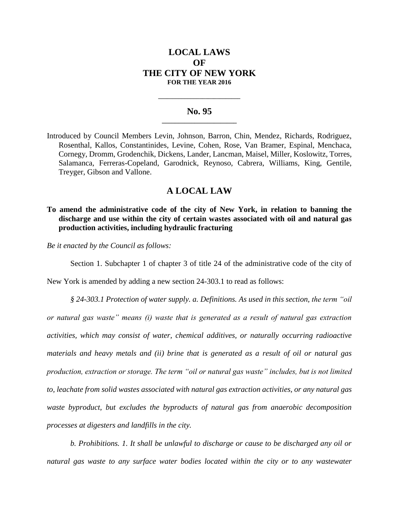# **LOCAL LAWS OF THE CITY OF NEW YORK FOR THE YEAR 2016**

### **No. 95 \_\_\_\_\_\_\_\_\_\_\_\_\_\_\_\_\_\_\_\_\_\_\_**

**\_\_\_\_\_\_\_\_\_\_\_\_\_\_\_\_\_\_\_\_\_\_\_\_\_\_\_\_**

Introduced by Council Members Levin, Johnson, Barron, Chin, Mendez, Richards, Rodriguez, Rosenthal, Kallos, Constantinides, Levine, Cohen, Rose, Van Bramer, Espinal, Menchaca, Cornegy, Dromm, Grodenchik, Dickens, Lander, Lancman, Maisel, Miller, Koslowitz, Torres, Salamanca, Ferreras-Copeland, Garodnick, Reynoso, Cabrera, Williams, King, Gentile, Treyger, Gibson and Vallone.

# **A LOCAL LAW**

## **To amend the administrative code of the city of New York, in relation to banning the discharge and use within the city of certain wastes associated with oil and natural gas production activities, including hydraulic fracturing**

*Be it enacted by the Council as follows:*

Section 1. Subchapter 1 of chapter 3 of title 24 of the administrative code of the city of

New York is amended by adding a new section 24-303.1 to read as follows:

*§ 24-303.1 Protection of water supply. a. Definitions. As used in this section, the term "oil or natural gas waste" means (i) waste that is generated as a result of natural gas extraction activities, which may consist of water, chemical additives, or naturally occurring radioactive materials and heavy metals and (ii) brine that is generated as a result of oil or natural gas production, extraction or storage. The term "oil or natural gas waste" includes, but is not limited to, leachate from solid wastes associated with natural gas extraction activities, or any natural gas waste byproduct, but excludes the byproducts of natural gas from anaerobic decomposition processes at digesters and landfills in the city.*

*b. Prohibitions. 1. It shall be unlawful to discharge or cause to be discharged any oil or natural gas waste to any surface water bodies located within the city or to any wastewater*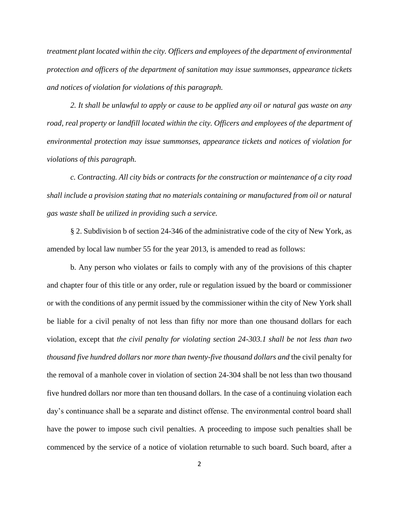*treatment plant located within the city. Officers and employees of the department of environmental protection and officers of the department of sanitation may issue summonses, appearance tickets and notices of violation for violations of this paragraph.*

*2. It shall be unlawful to apply or cause to be applied any oil or natural gas waste on any road, real property or landfill located within the city. Officers and employees of the department of environmental protection may issue summonses, appearance tickets and notices of violation for violations of this paragraph.*

*c. Contracting. All city bids or contracts for the construction or maintenance of a city road shall include a provision stating that no materials containing or manufactured from oil or natural gas waste shall be utilized in providing such a service.* 

§ 2. Subdivision b of section 24-346 of the administrative code of the city of New York, as amended by local law number 55 for the year 2013, is amended to read as follows:

b. Any person who violates or fails to comply with any of the provisions of this chapter and chapter four of this title or any order, rule or regulation issued by the board or commissioner or with the conditions of any permit issued by the commissioner within the city of New York shall be liable for a civil penalty of not less than fifty nor more than one thousand dollars for each violation, except that *the civil penalty for violating section 24-303.1 shall be not less than two thousand five hundred dollars nor more than twenty-five thousand dollars and* the civil penalty for the removal of a manhole cover in violation of section 24-304 shall be not less than two thousand five hundred dollars nor more than ten thousand dollars. In the case of a continuing violation each day's continuance shall be a separate and distinct offense. The environmental control board shall have the power to impose such civil penalties. A proceeding to impose such penalties shall be commenced by the service of a notice of violation returnable to such board. Such board, after a